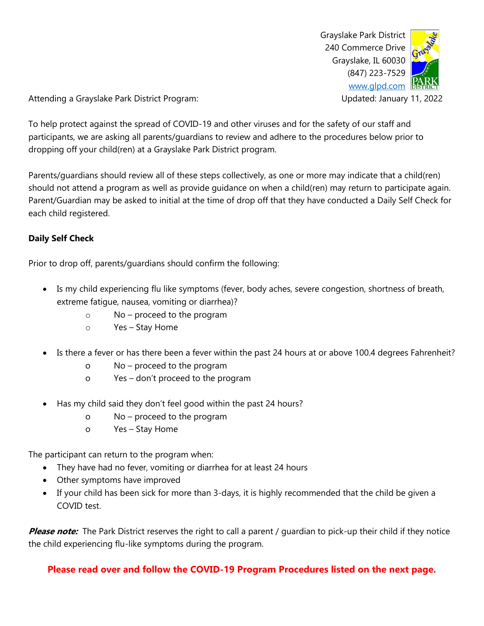Grayslake Park District 240 Commerce Drive Grayslake, IL 60030 (847) 223-7529 [www.glpd.com](http://www.glpd.com/)

Attending a Grayslake Park District Program: Updated: January 11, 2022

To help protect against the spread of COVID-19 and other viruses and for the safety of our staff and participants, we are asking all parents/guardians to review and adhere to the procedures below prior to dropping off your child(ren) at a Grayslake Park District program.

Parents/guardians should review all of these steps collectively, as one or more may indicate that a child(ren) should not attend a program as well as provide guidance on when a child(ren) may return to participate again. Parent/Guardian may be asked to initial at the time of drop off that they have conducted a Daily Self Check for each child registered.

#### **Daily Self Check**

Prior to drop off, parents/guardians should confirm the following:

- Is my child experiencing flu like symptoms (fever, body aches, severe congestion, shortness of breath, extreme fatigue, nausea, vomiting or diarrhea)?
	- o No proceed to the program
	- o Yes Stay Home
- Is there a fever or has there been a fever within the past 24 hours at or above 100.4 degrees Fahrenheit?
	- o No proceed to the program
	- o Yes don't proceed to the program
- Has my child said they don't feel good within the past 24 hours?
	- o No proceed to the program
	- o Yes Stay Home

The participant can return to the program when:

- They have had no fever, vomiting or diarrhea for at least 24 hours
- Other symptoms have improved
- If your child has been sick for more than 3-days, it is highly recommended that the child be given a COVID test.

**Please note:** The Park District reserves the right to call a parent / guardian to pick-up their child if they notice the child experiencing flu-like symptoms during the program.

**Please read over and follow the COVID-19 Program Procedures listed on the next page.**